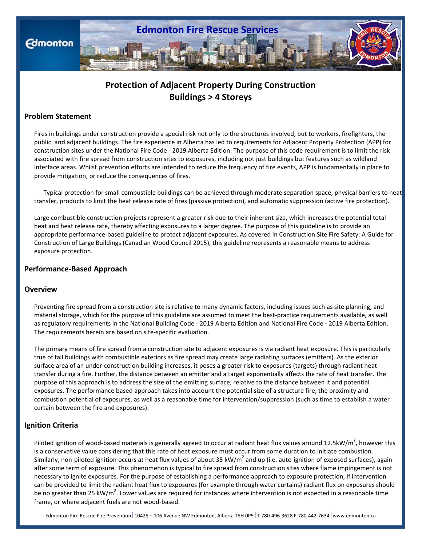

# **Protection of Adjacent Property During Construction Buildings > 4 Storeys**

# **Problem Statement**

Fires in buildings under construction provide a special risk not only to the structures involved, but to workers, firefighters, the public, and adjacent buildings. The fire experience in Alberta has led to requirements for Adjacent Property Protection (APP) for construction sites under the National Fire Code - 2019 Alberta Edition. The purpose of this code requirement is to limit the risk associated with fire spread from construction sites to exposures, including not just buildings but features such as wildland interface areas. Whilst prevention efforts are intended to reduce the frequency of fire events, APP is fundamentally in place to provide mitigation, or reduce the consequences of fires.

 Typical protection for small combustible buildings can be achieved through moderate separation space, physical barriers to heat transfer, products to limit the heat release rate of fires (passive protection), and automatic suppression (active fire protection).

Large combustible construction projects represent a greater risk due to their inherent size, which increases the potential total heat and heat release rate, thereby affecting exposures to a larger degree. The purpose of this guideline is to provide an appropriate performance-based guideline to protect adjacent exposures. As covered in Construction Site Fire Safety: A Guide for Construction of Large Buildings (Canadian Wood Council 2015), this guideline represents a reasonable means to address exposure protection.

# **Performance-Based Approach**

### **Overview**

Preventing fire spread from a construction site is relative to many dynamic factors, including issues such as site planning, and material storage, which for the purpose of this guideline are assumed to meet the best-practice requirements available, as well as regulatory requirements in the National Building Code - 2019 Alberta Edition and National Fire Code - 2019 Alberta Edition. The requirements herein are based on site-specific evaluation.

The primary means of fire spread from a construction site to adjacent exposures is via radiant heat exposure. This is particularly true of tall buildings with combustible exteriors as fire spread may create large radiating surfaces (emitters). As the exterior surface area of an under-construction building increases, it poses a greater risk to exposures (targets) through radiant heat transfer during a fire. Further, the distance between an emitter and a target exponentially affects the rate of heat transfer. The purpose of this approach is to address the size of the emitting surface, relative to the distance between it and potential exposures. The performance based approach takes into account the potential size of a structure fire, the proximity and combustion potential of exposures, as well as a reasonable time for intervention/suppression (such as time to establish a water curtain between the fire and exposures).

### **Ignition Criteria**

Piloted ignition of wood-based materials is generally agreed to occur at radiant heat flux values around 12.5kW/m<sup>2</sup>, however this is a conservative value considering that this rate of heat exposure must occur from some duration to initiate combustion. Similarly, non-piloted ignition occurs at heat flux values of about 35 kW/ $m^2$  and up (i.e. auto-ignition of exposed surfaces), again after some term of exposure. This phenomenon is typical to fire spread from construction sites where flame impingement is not necessary to ignite exposures. For the purpose of establishing a performance approach to exposure protection, if intervention can be provided to limit the radiant heat flux to exposures (for example through water curtains) radiant flux on exposures should be no greater than 25 kW/m<sup>2</sup>. Lower values are required for instances where intervention is not expected in a reasonable time frame, or where adjacent fuels are not wood-based.

Edmonton Fire Rescue Fire Prevention 10425 – 106 Avenue NW Edmonton, Alberta T5H 0P5 T-780-496-3628 F-780-442-7634 www.edmonton.ca